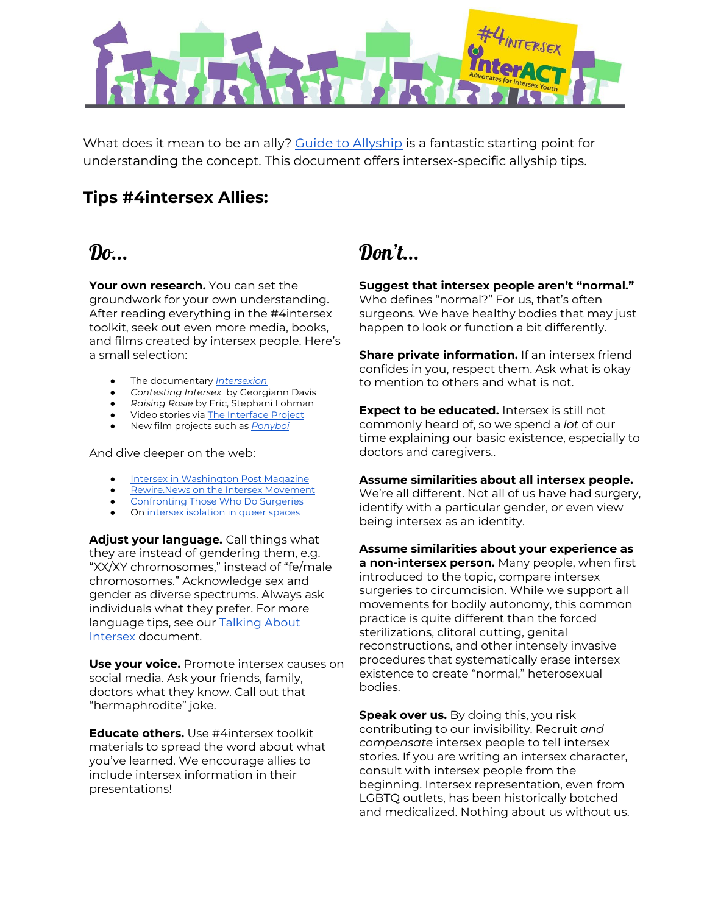

What does it mean to be an ally? Guide to [Allyship](http://www.guidetoallyship.com/) is a fantastic starting point for understanding the concept. This document offers intersex-specific allyship tips.

### **Tips #4intersex Allies:**

# $\boldsymbol{\eta_{\alpha}}$

**Your own research.** You can set the groundwork for your own understanding. After reading everything in the #4intersex toolkit, seek out even more media, books, and films created by intersex people. Here's a small selection:

- The documentary *[Intersexion](https://www.youtube.com/watch?v=QQdOp3COfSs)*
- *Contesting Intersex* by Georgiann Davis
- *Raising Rosie* by Eric, Stephani Lohman
- Video stories via The [Interface](https://www.interfaceproject.org/stories) Project
- New film projects such as *[Ponyboi](https://ponyboithefilm.com/)*

### And dive deeper on the web:

- Intersex in [Washington](http://www.washingtonpost.com/sf/style/2017/10/05/the-intersex-rights-movement-is-ready-for-its-moment/?utm_term=.0a2bf69e52ac) Post Magazine
- [Rewire.News](https://rewire.news/article/2018/08/13/intersex-people-want-to-end-nonconsensual-surgeries-a-california-resolution-is-their-warning-shot/) on the Intersex Movement
- [Confronting](https://youtu.be/b6TKwbkkBrs) Those Who Do Surgeries
- On intersex [isolation](https://www.them.us/story/intersex-allyship-101) in queer spaces

**Adjust your language.** Call things what they are instead of gendering them, e.g. "XX/XY chromosomes," instead of "fe/male chromosomes." Acknowledge sex and gender as diverse spectrums. Always ask individuals what they prefer. For more language tips, see our **[Talking](http://4intersex.org/wp-content/uploads/2018/07/Talking-About-Intersex-on-Social-Media-Hashtag-and-Language-Guide.pdf) About** [Intersex](http://4intersex.org/wp-content/uploads/2018/07/Talking-About-Intersex-on-Social-Media-Hashtag-and-Language-Guide.pdf) document.

**Use your voice.** Promote intersex causes on social media. Ask your friends, family, doctors what they know. Call out that "hermaphrodite" joke.

**Educate others.** Use #4intersex toolkit materials to spread the word about what you've learned. We encourage allies to include intersex information in their presentations!

# Don't...

**Suggest that intersex people aren't "normal."** Who defines "normal?" For us, that's often surgeons. We have healthy bodies that may just happen to look or function a bit differently.

**Share private information.** If an intersex friend confides in you, respect them. Ask what is okay to mention to others and what is not.

**Expect to be educated.** Intersex is still not commonly heard of, so we spend a *lot* of our time explaining our basic existence, especially to doctors and caregivers..

### **Assume similarities about all intersex people.**

We're all different. Not all of us have had surgery, identify with a particular gender, or even view being intersex as an identity.

**Assume similarities about your experience as a non-intersex person.** Many people, when first introduced to the topic, compare intersex surgeries to circumcision. While we support all movements for bodily autonomy, this common practice is quite different than the forced sterilizations, clitoral cutting, genital reconstructions, and other intensely invasive procedures that systematically erase intersex existence to create "normal," heterosexual bodies.

**Speak over us.** By doing this, you risk contributing to our invisibility. Recruit *and compensate* intersex people to tell intersex stories. If you are writing an intersex character, consult with intersex people from the beginning. Intersex representation, even from LGBTQ outlets, has been historically botched and medicalized. Nothing about us without us.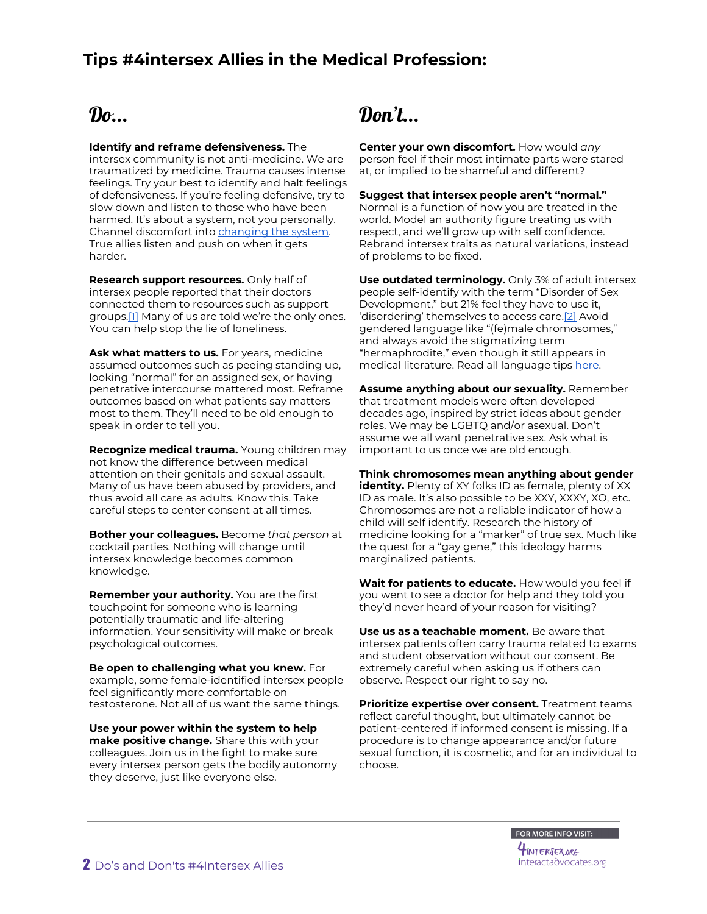### **Tips #4intersex Allies in the Medical Profession:**

## $\mathbf{D}$ o...

#### **Identify and reframe defensiveness.** The

intersex community is not anti-medicine. We are traumatized by medicine. Trauma causes intense feelings. Try your best to identify and halt feelings of defensiveness. If you're feeling defensive, try to slow down and listen to those who have been harmed. It's about a system, not you personally. Channel discomfort into [changing](https://interactadvocates.org/wp-content/uploads/2018/09/interACT-Lambda-Legal-intersex-hospital-policies.pdf) the system. True allies listen and push on when it gets harder.

**Research support resources.** Only half of intersex people reported that their doctors connected them to resources such as support groups.<sup>[1]</sup> Many of us are told we're the only ones. You can help stop the lie of loneliness.

**Ask what matters to us.** For years, medicine assumed outcomes such as peeing standing up, looking "normal" for an assigned sex, or having penetrative intercourse mattered most. Reframe outcomes based on what patients say matters most to them. They'll need to be old enough to speak in order to tell you.

**Recognize medical trauma.** Young children may not know the difference between medical attention on their genitals and sexual assault. Many of us have been abused by providers, and thus avoid all care as adults. Know this. Take careful steps to center consent at all times.

**Bother your colleagues.** Become *that person* at cocktail parties. Nothing will change until intersex knowledge becomes common knowledge.

**Remember your authority.** You are the first touchpoint for someone who is learning potentially traumatic and life-altering information. Your sensitivity will make or break psychological outcomes.

**Be open to challenging what you knew.** For example, some female-identified intersex people feel significantly more comfortable on testosterone. Not all of us want the same things.

**Use your power within the system to help make positive change.** Share this with your colleagues. Join us in the fight to make sure every intersex person gets the bodily autonomy they deserve, just like everyone else.

# Don't...

**Center your own discomfort.** How would *any* person feel if their most intimate parts were stared at, or implied to be shameful and different?

#### **Suggest that intersex people aren't "normal."**

Normal is a function of how you are treated in the world. Model an authority figure treating us with respect, and we'll grow up with self confidence. Rebrand intersex traits as natural variations, instead of problems to be fixed.

**Use outdated terminology.** Only 3% of adult intersex people self-identify with the term "Disorder of Sex Development," but 21% feel they have to use it, 'disordering' themselves to access care[.\[2\]](https://www.hhrjournal.org/2018/08/intersex-variations-human-rights-and-the-international-classification-of-diseases/) Avoid gendered language like "(fe)male chromosomes," and always avoid the stigmatizing term "hermaphrodite," even though it still appears in medical literature. Read all language tips [here.](http://4intersex.org/wp-content/uploads/2018/07/Talking-About-Intersex-on-Social-Media-Hashtag-and-Language-Guide.pdf)

**Assume anything about our sexuality.** Remember that treatment models were often developed decades ago, inspired by strict ideas about gender roles. We may be LGBTQ and/or asexual. Don't assume we all want penetrative sex. Ask what is important to us once we are old enough.

**Think chromosomes mean anything about gender identity.** Plenty of XY folks ID as female, plenty of XX ID as male. It's also possible to be XXY, XXXY, XO, etc. Chromosomes are not a reliable indicator of how a child will self identify. Research the history of medicine looking for a "marker" of true sex. Much like the quest for a "gay gene," this ideology harms marginalized patients.

**Wait for patients to educate.** How would you feel if you went to see a doctor for help and they told you they'd never heard of your reason for visiting?

**Use us as a teachable moment.** Be aware that intersex patients often carry trauma related to exams and student observation without our consent. Be extremely careful when asking us if others can observe. Respect our right to say no.

**Prioritize expertise over consent.** Treatment teams reflect careful thought, but ultimately cannot be patient-centered if informed consent is missing. If a procedure is to change appearance and/or future sexual function, it is cosmetic, and for an individual to choose.